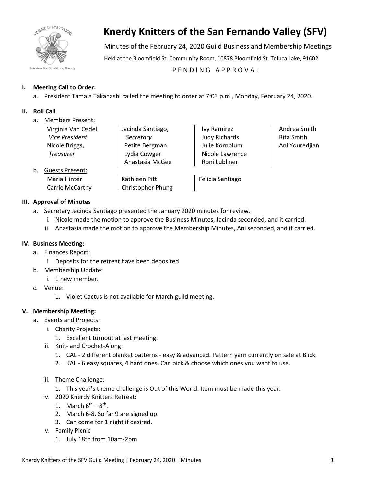

# **Knerdy Knitters of the San Fernando Valley (SFV)**

Minutes of the February 24, 2020 Guild Business and Membership Meetings

Held at the Bloomfield St. Community Room, 10878 Bloomfield St. Toluca Lake, 91602

## PENDING APPROVAL

## **I. Meeting Call to Order:**

a. President Tamala Takahashi called the meeting to order at 7:03 p.m., Monday, February 24, 2020.

## **II. Roll Call**

| a. |  | <b>Members Present:</b> |
|----|--|-------------------------|
|    |  |                         |

|    | Virginia Van Osdel,    | Jacinda Santiago, | Ivy Ramirez          | Andrea Smith   |
|----|------------------------|-------------------|----------------------|----------------|
|    | <b>Vice President</b>  | Secretary         | <b>Judy Richards</b> | Rita Smith     |
|    | Nicole Briggs,         | Petite Bergman    | Julie Kornblum       | Ani Youredjian |
|    | <b>Treasurer</b>       | Lydia Cowger      | Nicole Lawrence      |                |
|    |                        | Anastasia McGee   | Roni Lubliner        |                |
| b. | <b>Guests Present:</b> |                   |                      |                |
|    | Maria Hinter           | Kathleen Pitt     | Felicia Santiago     |                |
|    | Carrie McCarthy        | Christopher Phung |                      |                |

#### **III. Approval of Minutes**

- a. Secretary Jacinda Santiago presented the January 2020 minutes for review.
	- i. Nicole made the motion to approve the Business Minutes, Jacinda seconded, and it carried.
	- ii. Anastasia made the motion to approve the Membership Minutes, Ani seconded, and it carried.

#### **IV. Business Meeting:**

- a. Finances Report:
	- i. Deposits for the retreat have been deposited
- b. Membership Update:
	- i. 1 new member.
- c. Venue:
	- 1. Violet Cactus is not available for March guild meeting.

#### **V. Membership Meeting:**

- a. Events and Projects:
	- i. Charity Projects:
		- 1. Excellent turnout at last meeting.
	- ii. Knit- and Crochet-Along:
		- 1. CAL 2 different blanket patterns easy & advanced. Pattern yarn currently on sale at Blick.
		- 2. KAL 6 easy squares, 4 hard ones. Can pick & choose which ones you want to use.
	- iii. Theme Challenge:
		- 1. This year's theme challenge is Out of this World. Item must be made this year.
	- iv. 2020 Knerdy Knitters Retreat:
		- 1. March  $6^{th} 8^{th}$ .
		- 2. March 6-8. So far 9 are signed up.
		- 3. Can come for 1 night if desired.
	- v. Family Picnic
		- 1. July 18th from 10am-2pm